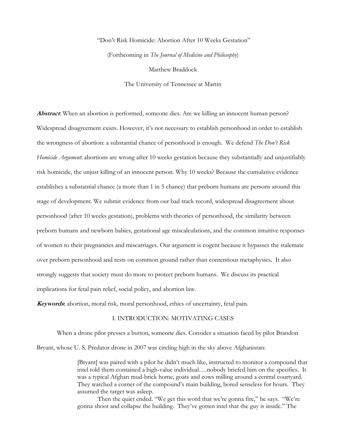# "Don't Risk Homicide: Abortion After 10 Weeks Gestation" (Forthcoming in *The Journal of Medicine and Philosophy*) Matthew Braddock

The University of Tennessee at Martin

**Abstract**: When an abortion is performed, someone dies. Are we killing an innocent human person? Widespread disagreement exists. However, it's not necessary to establish personhood in order to establish the wrongness of abortion: a substantial chance of personhood is enough. We defend *The Don't Risk Homicide Argument*: abortions are wrong after 10 weeks gestation because they substantially and unjustifiably risk homicide, the unjust killing of an innocent person. Why 10 weeks? Because the cumulative evidence establishes a substantial chance (a more than 1 in 5 chance) that preborn humans are persons around this stage of development. We submit evidence from our bad track record, widespread disagreement about personhood (after 10 weeks gestation), problems with theories of personhood, the similarity between preborn humans and newborn babies, gestational age miscalculations, and the common intuitive responses of women to their pregnancies and miscarriages. Our argument is cogent because it bypasses the stalemate over preborn personhood and rests on common ground rather than contentious metaphysics. It also strongly suggests that society must do more to protect preborn humans. We discuss its practical implications for fetal pain relief, social policy, and abortion law.

**Keywords:** abortion, moral risk, moral personhood, ethics of uncertainty, fetal pain.

## I. INTRODUCTION: MOTIVATING CASES

When a drone pilot presses a button, someone dies. Consider a situation faced by pilot Brandon

Bryant, whose U. S. Predator drone in 2007 was circling high in the sky above Afghanistan:

[Bryant] was paired with a pilot he didn't much like, instructed to monitor a compound that intel told them contained a high-value individual….nobody briefed him on the specifics. It was a typical Afghan mud-brick home, goats and cows milling around a central courtyard. They watched a corner of the compound's main building, bored senseless for hours. They assumed the target was asleep.

Then the quiet ended. "We get this word that we're gonna fire," he says. "We're gonna shoot and collapse the building. They've gotten intel that the guy is inside." The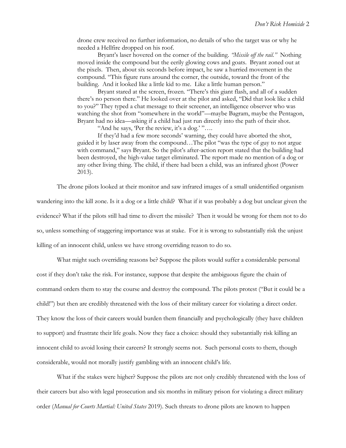drone crew received no further information, no details of who the target was or why he needed a Hellfire dropped on his roof.

Bryant's laser hovered on the corner of the building. *"Missile off the rail."* Nothing moved inside the compound but the eerily glowing cows and goats. Bryant zoned out at the pixels. Then, about six seconds before impact, he saw a hurried movement in the compound. "This figure runs around the corner, the outside, toward the front of the building. And it looked like a little kid to me. Like a little human person."

Bryant stared at the screen, frozen. "There's this giant flash, and all of a sudden there's no person there." He looked over at the pilot and asked, "Did that look like a child to you?" They typed a chat message to their screener, an intelligence observer who was watching the shot from "somewhere in the world"—maybe Bagram, maybe the Pentagon, Bryant had no idea—asking if a child had just run directly into the path of their shot.

"And he says, 'Per the review, it's a dog.' "….

If they'd had a few more seconds' warning, they could have aborted the shot, guided it by laser away from the compound…The pilot "was the type of guy to not argue with command," says Bryant. So the pilot's after-action report stated that the building had been destroyed, the high-value target eliminated. The report made no mention of a dog or any other living thing. The child, if there had been a child, was an infrared ghost (Power 2013).

The drone pilots looked at their monitor and saw infrared images of a small unidentified organism

wandering into the kill zone. Is it a dog or a little child? What if it was probably a dog but unclear given the evidence? What if the pilots still had time to divert the missile? Then it would be wrong for them not to do so, unless something of staggering importance was at stake. For it is wrong to substantially risk the unjust killing of an innocent child, unless we have strong overriding reason to do so.

What might such overriding reasons be? Suppose the pilots would suffer a considerable personal cost if they don't take the risk. For instance, suppose that despite the ambiguous figure the chain of command orders them to stay the course and destroy the compound. The pilots protest ("But it could be a child!") but then are credibly threatened with the loss of their military career for violating a direct order. They know the loss of their careers would burden them financially and psychologically (they have children to support) and frustrate their life goals. Now they face a choice: should they substantially risk killing an innocent child to avoid losing their careers? It strongly seems not. Such personal costs to them, though considerable, would not morally justify gambling with an innocent child's life.

What if the stakes were higher? Suppose the pilots are not only credibly threatened with the loss of their careers but also with legal prosecution and six months in military prison for violating a direct military order (*Manual for Courts Martial: United States* 2019). Such threats to drone pilots are known to happen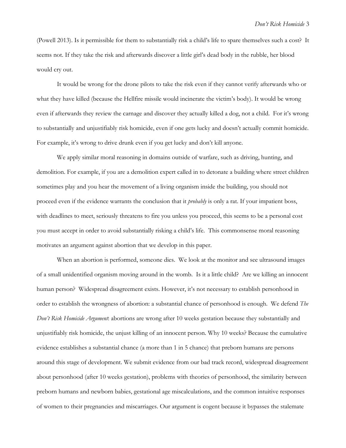(Powell 2013). Is it permissible for them to substantially risk a child's life to spare themselves such a cost? It seems not. If they take the risk and afterwards discover a little girl's dead body in the rubble, her blood would cry out.

It would be wrong for the drone pilots to take the risk even if they cannot verify afterwards who or what they have killed (because the Hellfire missile would incinerate the victim's body). It would be wrong even if afterwards they review the carnage and discover they actually killed a dog, not a child. For it's wrong to substantially and unjustifiably risk homicide, even if one gets lucky and doesn't actually commit homicide. For example, it's wrong to drive drunk even if you get lucky and don't kill anyone.

We apply similar moral reasoning in domains outside of warfare, such as driving, hunting, and demolition. For example, if you are a demolition expert called in to detonate a building where street children sometimes play and you hear the movement of a living organism inside the building, you should not proceed even if the evidence warrants the conclusion that it *probably* is only a rat. If your impatient boss, with deadlines to meet, seriously threatens to fire you unless you proceed, this seems to be a personal cost you must accept in order to avoid substantially risking a child's life. This commonsense moral reasoning motivates an argument against abortion that we develop in this paper.

When an abortion is performed, someone dies. We look at the monitor and see ultrasound images of a small unidentified organism moving around in the womb. Is it a little child? Are we killing an innocent human person? Widespread disagreement exists. However, it's not necessary to establish personhood in order to establish the wrongness of abortion: a substantial chance of personhood is enough. We defend *The Don't Risk Homicide Argument*: abortions are wrong after 10 weeks gestation because they substantially and unjustifiably risk homicide, the unjust killing of an innocent person. Why 10 weeks? Because the cumulative evidence establishes a substantial chance (a more than 1 in 5 chance) that preborn humans are persons around this stage of development. We submit evidence from our bad track record, widespread disagreement about personhood (after 10 weeks gestation), problems with theories of personhood, the similarity between preborn humans and newborn babies, gestational age miscalculations, and the common intuitive responses of women to their pregnancies and miscarriages. Our argument is cogent because it bypasses the stalemate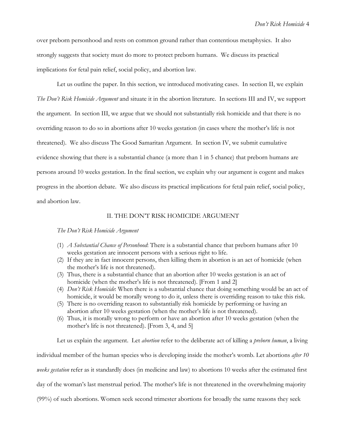over preborn personhood and rests on common ground rather than contentious metaphysics. It also strongly suggests that society must do more to protect preborn humans. We discuss its practical implications for fetal pain relief, social policy, and abortion law.

Let us outline the paper. In this section, we introduced motivating cases. In section II, we explain *The Don't Risk Homicide Argument* and situate it in the abortion literature. In sections III and IV, we support the argument. In section III, we argue that we should not substantially risk homicide and that there is no overriding reason to do so in abortions after 10 weeks gestation (in cases where the mother's life is not threatened). We also discuss The Good Samaritan Argument. In section IV, we submit cumulative evidence showing that there is a substantial chance (a more than 1 in 5 chance) that preborn humans are persons around 10 weeks gestation. In the final section, we explain why our argument is cogent and makes progress in the abortion debate. We also discuss its practical implications for fetal pain relief, social policy, and abortion law.

## II. THE DON'T RISK HOMICIDE ARGUMENT

## *The Don't Risk Homicide Argument*

- (1) *A Substantial Chance of Personhood*: There is a substantial chance that preborn humans after 10 weeks gestation are innocent persons with a serious right to life.
- (2) If they are in fact innocent persons, then killing them in abortion is an act of homicide (when the mother's life is not threatened).
- (3) Thus, there is a substantial chance that an abortion after 10 weeks gestation is an act of homicide (when the mother's life is not threatened). [From 1 and 2]
- (4) *Don't Risk Homicide*: When there is a substantial chance that doing something would be an act of homicide, it would be morally wrong to do it, unless there is overriding reason to take this risk.
- (5) There is no overriding reason to substantially risk homicide by performing or having an abortion after 10 weeks gestation (when the mother's life is not threatened).
- (6) Thus, it is morally wrong to perform or have an abortion after 10 weeks gestation (when the mother's life is not threatened). [From 3, 4, and 5]

Let us explain the argument. Let *abortion* refer to the deliberate act of killing a *preborn human*, a living

individual member of the human species who is developing inside the mother's womb. Let abortions *after 10* 

*weeks gestation* refer as it standardly does (in medicine and law) to abortions 10 weeks after the estimated first

day of the woman's last menstrual period. The mother's life is not threatened in the overwhelming majority

(99%) of such abortions. Women seek second trimester abortions for broadly the same reasons they seek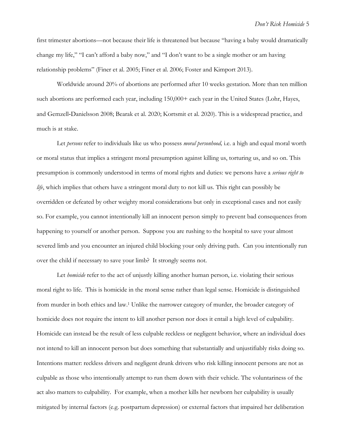first trimester abortions—not because their life is threatened but because "having a baby would dramatically change my life," "I can't afford a baby now," and "I don't want to be a single mother or am having relationship problems" (Finer et al. 2005; Finer et al. 2006; Foster and Kimport 2013).

Worldwide around 20% of abortions are performed after 10 weeks gestation. More than ten million such abortions are performed each year, including 150,000+ each year in the United States (Lohr, Hayes, and Gemzell‐Danielsson 2008; Bearak et al. 2020; Kortsmit et al. 2020). This is a widespread practice, and much is at stake.

Let *persons* refer to individuals like us who possess *moral personhood,* i.e. a high and equal moral worth or moral status that implies a stringent moral presumption against killing us, torturing us, and so on. This presumption is commonly understood in terms of moral rights and duties: we persons have a *serious right to life*, which implies that others have a stringent moral duty to not kill us. This right can possibly be overridden or defeated by other weighty moral considerations but only in exceptional cases and not easily so. For example, you cannot intentionally kill an innocent person simply to prevent bad consequences from happening to yourself or another person. Suppose you are rushing to the hospital to save your almost severed limb and you encounter an injured child blocking your only driving path. Can you intentionally run over the child if necessary to save your limb? It strongly seems not.

Let *homicide* refer to the act of unjustly killing another human person, i.e. violating their serious moral right to life. This is homicide in the moral sense rather than legal sense. Homicide is distinguished from murder in both ethics and law.<sup>1</sup> Unlike the narrower category of murder, the broader category of homicide does not require the intent to kill another person nor does it entail a high level of culpability. Homicide can instead be the result of less culpable reckless or negligent behavior, where an individual does not intend to kill an innocent person but does something that substantially and unjustifiably risks doing so. Intentions matter: reckless drivers and negligent drunk drivers who risk killing innocent persons are not as culpable as those who intentionally attempt to run them down with their vehicle. The voluntariness of the act also matters to culpability. For example, when a mother kills her newborn her culpability is usually mitigated by internal factors (e.g. postpartum depression) or external factors that impaired her deliberation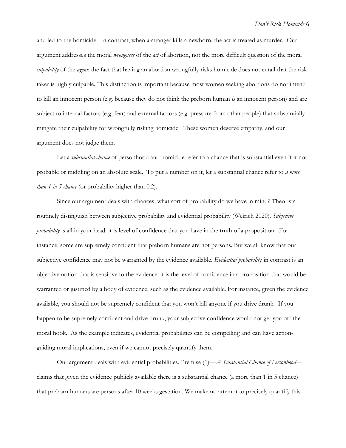and led to the homicide. In contrast, when a stranger kills a newborn, the act is treated as murder. Our argument addresses the moral *wrongness* of the *act* of abortion, not the more difficult question of the moral *culpability* of the *agent*: the fact that having an abortion wrongfully risks homicide does not entail that the risk taker is highly culpable. This distinction is important because most women seeking abortions do not intend to kill an innocent person (e.g. because they do not think the preborn human *is* an innocent person) and are subject to internal factors (e.g. fear) and external factors (e.g. pressure from other people) that substantially mitigate their culpability for wrongfully risking homicide. These women deserve empathy, and our argument does not judge them.

Let a *substantial chance* of personhood and homicide refer to a chance that is substantial even if it not probable or middling on an absolute scale. To put a number on it, let a substantial chance refer to *a more than 1 in 5 chance* (or probability higher than 0.2).

Since our argument deals with chances, what sort of probability do we have in mind? Theorists routinely distinguish between subjective probability and evidential probability (Weirich 2020). *Subjective probability* is all in your head: it is level of confidence that you have in the truth of a proposition. For instance, some are supremely confident that preborn humans are not persons. But we all know that our subjective confidence may not be warranted by the evidence available. *Evidential probabilit*y in contrast is an objective notion that is sensitive to the evidence: it is the level of confidence in a proposition that would be warranted or justified by a body of evidence, such as the evidence available. For instance, given the evidence available, you should not be supremely confident that you won't kill anyone if you drive drunk. If you happen to be supremely confident and drive drunk, your subjective confidence would not get you off the moral hook. As the example indicates, evidential probabilities can be compelling and can have actionguiding moral implications, even if we cannot precisely quantify them.

Our argument deals with evidential probabilities. Premise (1)—*A Substantial Chance of Personhood* claims that given the evidence publicly available there is a substantial chance (a more than 1 in 5 chance) that preborn humans are persons after 10 weeks gestation. We make no attempt to precisely quantify this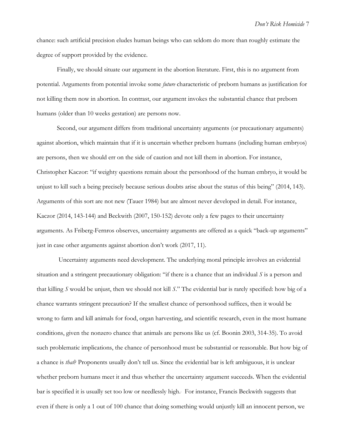chance: such artificial precision eludes human beings who can seldom do more than roughly estimate the degree of support provided by the evidence.

Finally, we should situate our argument in the abortion literature. First, this is no argument from potential. Arguments from potential invoke some *future* characteristic of preborn humans as justification for not killing them now in abortion. In contrast, our argument invokes the substantial chance that preborn humans (older than 10 weeks gestation) are persons now.

Second, our argument differs from traditional uncertainty arguments (or precautionary arguments) against abortion, which maintain that if it is uncertain whether preborn humans (including human embryos) are persons, then we should err on the side of caution and not kill them in abortion. For instance, Christopher Kaczor: "if weighty questions remain about the personhood of the human embryo, it would be unjust to kill such a being precisely because serious doubts arise about the status of this being" (2014, 143). Arguments of this sort are not new (Tauer 1984) but are almost never developed in detail. For instance, Kaczor (2014, 143-144) and Beckwith (2007, 150-152) devote only a few pages to their uncertainty arguments. As Friberg-Fernros observes, uncertainty arguments are offered as a quick "back-up arguments" just in case other arguments against abortion don't work (2017, 11).

Uncertainty arguments need development. The underlying moral principle involves an evidential situation and a stringent precautionary obligation: "if there is a chance that an individual *S* is a person and that killing *S* would be unjust, then we should not kill *S*." The evidential bar is rarely specified: how big of a chance warrants stringent precaution? If the smallest chance of personhood suffices, then it would be wrong to farm and kill animals for food, organ harvesting, and scientific research, even in the most humane conditions, given the nonzero chance that animals are persons like us (cf. Boonin 2003, 314-35). To avoid such problematic implications, the chance of personhood must be substantial or reasonable. But how big of a chance is *that*? Proponents usually don't tell us. Since the evidential bar is left ambiguous, it is unclear whether preborn humans meet it and thus whether the uncertainty argument succeeds. When the evidential bar is specified it is usually set too low or needlessly high. . For instance, Francis Beckwith suggests that even if there is only a 1 out of 100 chance that doing something would unjustly kill an innocent person, we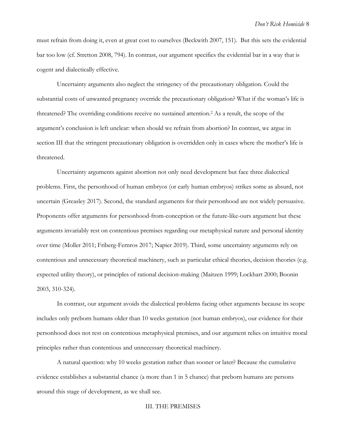must refrain from doing it, even at great cost to ourselves (Beckwith 2007, 151). But this sets the evidential bar too low (cf. Stretton 2008, 794). In contrast, our argument specifies the evidential bar in a way that is cogent and dialectically effective.

Uncertainty arguments also neglect the stringency of the precautionary obligation. Could the substantial costs of unwanted pregnancy override the precautionary obligation? What if the woman's life is threatened? The overriding conditions receive no sustained attention. <sup>2</sup> As a result, the scope of the argument's conclusion is left unclear: when should we refrain from abortion? In contrast, we argue in section III that the stringent precautionary obligation is overridden only in cases where the mother's life is threatened.

Uncertainty arguments against abortion not only need development but face three dialectical problems. First, the personhood of human embryos (or early human embryos) strikes some as absurd, not uncertain (Greasley 2017). Second, the standard arguments for their personhood are not widely persuasive. Proponents offer arguments for personhood-from-conception or the future-like-ours argument but these arguments invariably rest on contentious premises regarding our metaphysical nature and personal identity over time (Moller 2011; Friberg-Fernros 2017; Napier 2019). Third, some uncertainty arguments rely on contentious and unnecessary theoretical machinery, such as particular ethical theories, decision theories (e.g. expected utility theory), or principles of rational decision-making (Maitzen 1999; Lockhart 2000; Boonin 2003, 310-324).

In contrast, our argument avoids the dialectical problems facing other arguments because its scope includes only preborn humans older than 10 weeks gestation (not human embryos), our evidence for their personhood does not rest on contentious metaphysical premises, and our argument relies on intuitive moral principles rather than contentious and unnecessary theoretical machinery.

A natural question: why 10 weeks gestation rather than sooner or later? Because the cumulative evidence establishes a substantial chance (a more than 1 in 5 chance) that preborn humans are persons around this stage of development, as we shall see.

III. THE PREMISES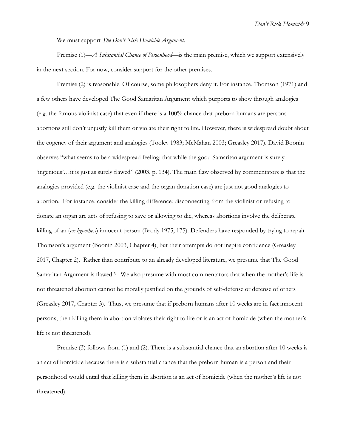*Don't Risk Homicide* 9

We must support *The Don't Risk Homicide Argument*.

Premise (1)—*A Substantial Chance of Personhood*—is the main premise, which we support extensively in the next section. For now, consider support for the other premises.

Premise (2) is reasonable. Of course, some philosophers deny it. For instance, Thomson (1971) and a few others have developed The Good Samaritan Argument which purports to show through analogies (e.g. the famous violinist case) that even if there is a 100% chance that preborn humans are persons abortions still don't unjustly kill them or violate their right to life. However, there is widespread doubt about the cogency of their argument and analogies (Tooley 1983; McMahan 2003; Greasley 2017). David Boonin observes "what seems to be a widespread feeling: that while the good Samaritan argument is surely 'ingenious'…it is just as surely flawed" (2003, p. 134). The main flaw observed by commentators is that the analogies provided (e.g. the violinist case and the organ donation case) are just not good analogies to abortion. For instance, consider the killing difference: disconnecting from the violinist or refusing to donate an organ are acts of refusing to save or allowing to die, whereas abortions involve the deliberate killing of an (*ex hypothesi*) innocent person (Brody 1975, 175). Defenders have responded by trying to repair Thomson's argument (Boonin 2003, Chapter 4), but their attempts do not inspire confidence (Greasley 2017, Chapter 2). Rather than contribute to an already developed literature, we presume that The Good Samaritan Argument is flawed.<sup>3</sup> We also presume with most commentators that when the mother's life is not threatened abortion cannot be morally justified on the grounds of self-defense or defense of others (Greasley 2017, Chapter 3). Thus, we presume that if preborn humans after 10 weeks are in fact innocent persons, then killing them in abortion violates their right to life or is an act of homicide (when the mother's life is not threatened).

Premise (3) follows from (1) and (2). There is a substantial chance that an abortion after 10 weeks is an act of homicide because there is a substantial chance that the preborn human is a person and their personhood would entail that killing them in abortion is an act of homicide (when the mother's life is not threatened).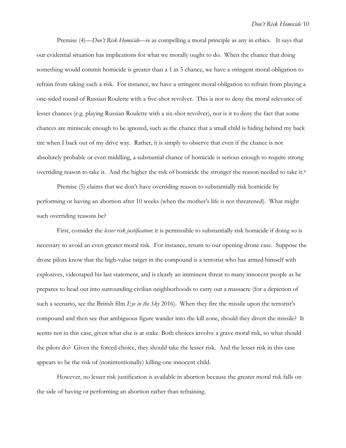Premise (4)—*Don't Risk Homicide*—is as compelling a moral principle as any in ethics. It says that our evidential situation has implications for what we morally ought to do. When the chance that doing something would commit homicide is greater than a 1 in 5 chance, we have a stringent moral obligation to refrain from taking such a risk. For instance, we have a stringent moral obligation to refrain from playing a one-sided round of Russian Roulette with a five-shot revolver. This is not to deny the moral relevance of lesser chances (e.g. playing Russian Roulette with a six-shot revolver), nor is it to deny the fact that some chances are miniscule enough to be ignored, such as the chance that a small child is hiding behind my back tire when I back out of my drive way. Rather, it is simply to observe that even if the chance is not absolutely probable or even middling, a substantial chance of homicide is serious enough to require strong overriding reason to take it. And the higher the risk of homicide the stronger the reason needed to take it.<sup>4</sup>

Premise (5) claims that we don't have overriding reason to substantially risk homicide by performing or having an abortion after 10 weeks (when the mother's life is not threatened). What might such overriding reasons be?

First, consider the *lesser risk justification*: it is permissible to substantially risk homicide if doing so is necessary to avoid an even greater moral risk. For instance, return to our opening drone case. Suppose the drone pilots know that the high-value target in the compound is a terrorist who has armed himself with explosives, videotaped his last statement, and is clearly an imminent threat to many innocent people as he prepares to head out into surrounding civilian neighborhoods to carry out a massacre (for a depiction of such a scenario, see the British film *Eye in the Sky* 2016). When they fire the missile upon the terrorist's compound and then see that ambiguous figure wander into the kill zone, should they divert the missile? It seems not in this case, given what else is at stake. Both choices involve a grave moral risk, so what should the pilots do? Given the forced choice, they should take the lesser risk. And the lesser risk in this case appears to be the risk of (nonintentionally) killing one innocent child.

However, no lesser risk justification is available in abortion because the greater moral risk falls on the side of having or performing an abortion rather than refraining.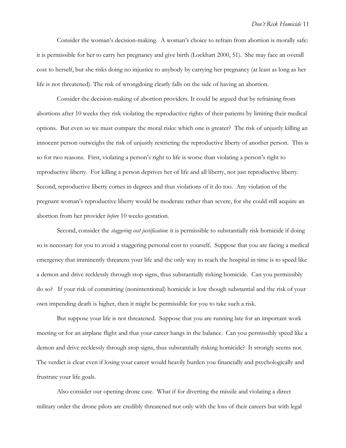Consider the woman's decision-making. A woman's choice to refrain from abortion is morally safe: it is permissible for her to carry her pregnancy and give birth (Lockhart 2000, 51). She may face an overall cost to herself, but she risks doing no injustice to anybody by carrying her pregnancy (at least as long as her life is not threatened). The risk of wrongdoing clearly falls on the side of having an abortion.

Consider the decision-making of abortion providers. It could be argued that by refraining from abortions after 10 weeks they risk violating the reproductive rights of their patients by limiting their medical options. But even so we must compare the moral risks: which one is greater? The risk of unjustly killing an innocent person outweighs the risk of unjustly restricting the reproductive liberty of another person. This is so for two reasons. First, violating a person's right to life is worse than violating a person's right to reproductive liberty. For killing a person deprives her of life and all liberty, not just reproductive liberty. Second, reproductive liberty comes in degrees and thus violations of it do too. Any violation of the pregnant woman's reproductive liberty would be moderate rather than severe, for she could still acquire an abortion from her provider *before* 10 weeks gestation.

Second, consider the *staggering cost justification*: it is permissible to substantially risk homicide if doing so is necessary for you to avoid a staggering personal cost to yourself. Suppose that you are facing a medical emergency that imminently threatens your life and the only way to reach the hospital in time is to speed like a demon and drive recklessly through stop signs, thus substantially risking homicide. Can you permissibly do so? If your risk of committing (nonintentional) homicide is low though substantial and the risk of your own impending death is higher, then it might be permissible for you to take such a risk.

But suppose your life is not threatened. Suppose that you are running late for an important work meeting or for an airplane flight and that your career hangs in the balance. Can you permissibly speed like a demon and drive recklessly through stop signs, thus substantially risking homicide? It strongly seems not. The verdict is clear even if losing your career would heavily burden you financially and psychologically and frustrate your life goals.

Also consider our opening drone case. What if for diverting the missile and violating a direct military order the drone pilots are credibly threatened not only with the loss of their careers but with legal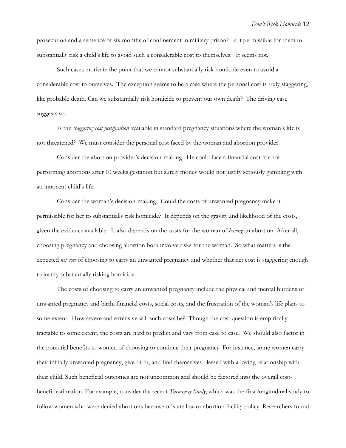prosecution and a sentence of six months of confinement in military prison? Is it permissible for them to substantially risk a child's life to avoid such a considerable cost to themselves? It seems not.

Such cases motivate the point that we cannot substantially risk homicide even to avoid a considerable cost to ourselves. The exception seems to be a case where the personal cost is truly staggering, like probable death. Can we substantially risk homicide to prevent our own death? The driving case suggests so.

Is the *staggering cost justification* available in standard pregnancy situations where the woman's life is not threatened? We must consider the personal cost faced by the woman and abortion provider.

Consider the abortion provider's decision-making. He could face a financial cost for not performing abortions after 10 weeks gestation but surely money would not justify seriously gambling with an innocent child's life.

Consider the woman's decision-making. Could the costs of unwanted pregnancy make it permissible for her to substantially risk homicide? It depends on the gravity and likelihood of the costs, given the evidence available. It also depends on the costs for the woman of *having* an abortion. After all, choosing pregnancy and choosing abortion both involve risks for the woman. So what matters is the expected *net cost* of choosing to carry an unwanted pregnancy and whether that net cost is staggering enough to justify substantially risking homicide.

The costs of choosing to carry an unwanted pregnancy include the physical and mental burdens of unwanted pregnancy and birth, financial costs, social costs, and the frustration of the woman's life plans to some extent. How severe and extensive will such costs be? Though the cost question is empirically tractable to some extent, the costs are hard to predict and vary from case to case. We should also factor in the potential benefits to women of choosing to continue their pregnancy. For instance, some women carry their initially unwanted pregnancy, give birth, and find themselves blessed with a loving relationship with their child. Such beneficial outcomes are not uncommon and should be factored into the overall costbenefit estimation. For example, consider the recent *Turnaway Study*, which was the first longitudinal study to follow women who were denied abortions because of state law or abortion facility policy. Researchers found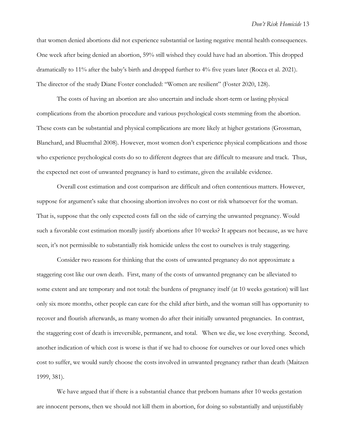that women denied abortions did not experience substantial or lasting negative mental health consequences. One week after being denied an abortion, 59% still wished they could have had an abortion. This dropped dramatically to 11% after the baby's birth and dropped further to 4% five years later (Rocca et al. 2021). The director of the study Diane Foster concluded: "Women are resilient" (Foster 2020, 128).

The costs of having an abortion are also uncertain and include short-term or lasting physical complications from the abortion procedure and various psychological costs stemming from the abortion. These costs can be substantial and physical complications are more likely at higher gestations (Grossman, Blanchard, and Bluemthal 2008). However, most women don't experience physical complications and those who experience psychological costs do so to different degrees that are difficult to measure and track. Thus, the expected net cost of unwanted pregnancy is hard to estimate, given the available evidence.

Overall cost estimation and cost comparison are difficult and often contentious matters. However, suppose for argument's sake that choosing abortion involves no cost or risk whatsoever for the woman. That is, suppose that the only expected costs fall on the side of carrying the unwanted pregnancy. Would such a favorable cost estimation morally justify abortions after 10 weeks? It appears not because, as we have seen, it's not permissible to substantially risk homicide unless the cost to ourselves is truly staggering.

Consider two reasons for thinking that the costs of unwanted pregnancy do not approximate a staggering cost like our own death. First, many of the costs of unwanted pregnancy can be alleviated to some extent and are temporary and not total: the burdens of pregnancy itself (at 10 weeks gestation) will last only six more months, other people can care for the child after birth, and the woman still has opportunity to recover and flourish afterwards, as many women do after their initially unwanted pregnancies. In contrast, the staggering cost of death is irreversible, permanent, and total. When we die, we lose everything. Second, another indication of which cost is worse is that if we had to choose for ourselves or our loved ones which cost to suffer, we would surely choose the costs involved in unwanted pregnancy rather than death (Maitzen 1999, 381).

We have argued that if there is a substantial chance that preborn humans after 10 weeks gestation are innocent persons, then we should not kill them in abortion, for doing so substantially and unjustifiably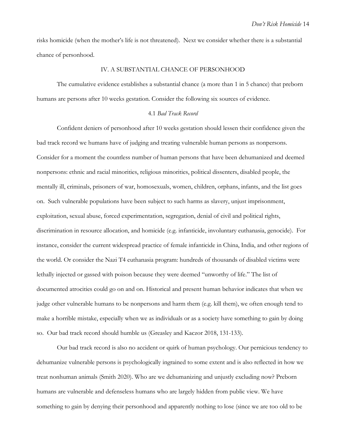risks homicide (when the mother's life is not threatened). Next we consider whether there is a substantial chance of personhood.

## IV. A SUBSTANTIAL CHANCE OF PERSONHOOD

The cumulative evidence establishes a substantial chance (a more than 1 in 5 chance) that preborn humans are persons after 10 weeks gestation. Consider the following six sources of evidence.

## 4.1 *Bad Track Record*

Confident deniers of personhood after 10 weeks gestation should lessen their confidence given the bad track record we humans have of judging and treating vulnerable human persons as nonpersons. Consider for a moment the countless number of human persons that have been dehumanized and deemed nonpersons: ethnic and racial minorities, religious minorities, political dissenters, disabled people, the mentally ill, criminals, prisoners of war, homosexuals, women, children, orphans, infants, and the list goes on. Such vulnerable populations have been subject to such harms as slavery, unjust imprisonment, exploitation, sexual abuse, forced experimentation, segregation, denial of civil and political rights, discrimination in resource allocation, and homicide (e.g. infanticide, involuntary euthanasia, genocide). For instance, consider the current widespread practice of female infanticide in China, India, and other regions of the world. Or consider the Nazi T4 euthanasia program: hundreds of thousands of disabled victims were lethally injected or gassed with poison because they were deemed "unworthy of life." The list of documented atrocities could go on and on. Historical and present human behavior indicates that when we judge other vulnerable humans to be nonpersons and harm them (e.g. kill them), we often enough tend to make a horrible mistake, especially when we as individuals or as a society have something to gain by doing so. Our bad track record should humble us (Greasley and Kaczor 2018, 131-133).

Our bad track record is also no accident or quirk of human psychology. Our pernicious tendency to dehumanize vulnerable persons is psychologically ingrained to some extent and is also reflected in how we treat nonhuman animals (Smith 2020). Who are we dehumanizing and unjustly excluding now? Preborn humans are vulnerable and defenseless humans who are largely hidden from public view. We have something to gain by denying their personhood and apparently nothing to lose (since we are too old to be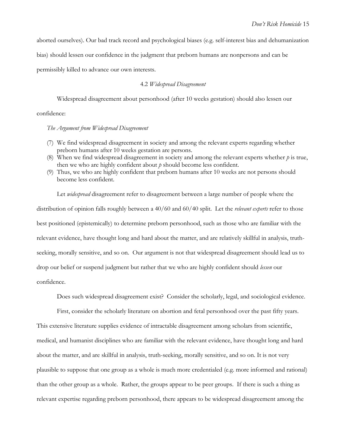aborted ourselves). Our bad track record and psychological biases (e.g. self-interest bias and dehumanization

bias) should lessen our confidence in the judgment that preborn humans are nonpersons and can be

permissibly killed to advance our own interests.

## 4.2 *Widespread Disagreement*

Widespread disagreement about personhood (after 10 weeks gestation) should also lessen our

confidence:

*The Argument from Widespread Disagreement* 

- (7) We find widespread disagreement in society and among the relevant experts regarding whether preborn humans after 10 weeks gestation are persons.
- (8) When we find widespread disagreement in society and among the relevant experts whether *p* is true, then we who are highly confident about *p* should become less confident.
- (9) Thus, we who are highly confident that preborn humans after 10 weeks are not persons should become less confident.

Let *widespread* disagreement refer to disagreement between a large number of people where the distribution of opinion falls roughly between a 40/60 and 60/40 split. Let the *relevant experts* refer to those best positioned (epistemically) to determine preborn personhood, such as those who are familiar with the relevant evidence, have thought long and hard about the matter, and are relatively skillful in analysis, truthseeking, morally sensitive, and so on. Our argument is not that widespread disagreement should lead us to drop our belief or suspend judgment but rather that we who are highly confident should *lessen* our confidence.

Does such widespread disagreement exist? Consider the scholarly, legal, and sociological evidence.

First, consider the scholarly literature on abortion and fetal personhood over the past fifty years.

This extensive literature supplies evidence of intractable disagreement among scholars from scientific, medical, and humanist disciplines who are familiar with the relevant evidence, have thought long and hard about the matter, and are skillful in analysis, truth-seeking, morally sensitive, and so on. It is not very plausible to suppose that one group as a whole is much more credentialed (e.g. more informed and rational) than the other group as a whole. Rather, the groups appear to be peer groups. If there is such a thing as relevant expertise regarding preborn personhood, there appears to be widespread disagreement among the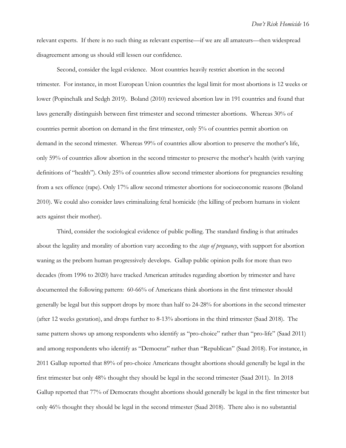relevant experts. If there is no such thing as relevant expertise—if we are all amateurs—then widespread disagreement among us should still lessen our confidence.

Second, consider the legal evidence. Most countries heavily restrict abortion in the second trimester. For instance, in most European Union countries the legal limit for most abortions is 12 weeks or lower (Popinchalk and Sedgh 2019). Boland (2010) reviewed abortion law in 191 countries and found that laws generally distinguish between first trimester and second trimester abortions. Whereas 30% of countries permit abortion on demand in the first trimester, only 5% of countries permit abortion on demand in the second trimester. Whereas 99% of countries allow abortion to preserve the mother's life, only 59% of countries allow abortion in the second trimester to preserve the mother's health (with varying definitions of "health"). Only 25% of countries allow second trimester abortions for pregnancies resulting from a sex offence (rape). Only 17% allow second trimester abortions for socioeconomic reasons (Boland 2010). We could also consider laws criminalizing fetal homicide (the killing of preborn humans in violent acts against their mother).

Third, consider the sociological evidence of public polling. The standard finding is that attitudes about the legality and morality of abortion vary according to the *stage of pregnancy*, with support for abortion waning as the preborn human progressively develops. Gallup public opinion polls for more than two decades (from 1996 to 2020) have tracked American attitudes regarding abortion by trimester and have documented the following pattern: 60-66% of Americans think abortions in the first trimester should generally be legal but this support drops by more than half to 24-28% for abortions in the second trimester (after 12 weeks gestation), and drops further to 8-13% abortions in the third trimester (Saad 2018). The same pattern shows up among respondents who identify as "pro-choice" rather than "pro-life" (Saad 2011) and among respondents who identify as "Democrat" rather than "Republican" (Saad 2018). For instance, in 2011 Gallup reported that 89% of pro-choice Americans thought abortions should generally be legal in the first trimester but only 48% thought they should be legal in the second trimester (Saad 2011). In 2018 Gallup reported that 77% of Democrats thought abortions should generally be legal in the first trimester but only 46% thought they should be legal in the second trimester (Saad 2018). There also is no substantial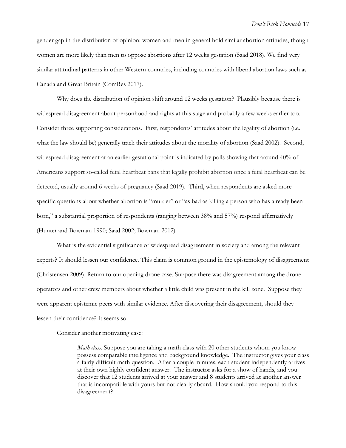gender gap in the distribution of opinion: women and men in general hold similar abortion attitudes, though women are more likely than men to oppose abortions after 12 weeks gestation (Saad 2018). We find very similar attitudinal patterns in other Western countries, including countries with liberal abortion laws such as Canada and Great Britain (ComRes 2017).

Why does the distribution of opinion shift around 12 weeks gestation? Plausibly because there is widespread disagreement about personhood and rights at this stage and probably a few weeks earlier too. Consider three supporting considerations. First, respondents' attitudes about the legality of abortion (i.e. what the law should be) generally track their attitudes about the morality of abortion (Saad 2002). Second, widespread disagreement at an earlier gestational point is indicated by polls showing that around 40% of Americans support so-called fetal heartbeat bans that legally prohibit abortion once a fetal heartbeat can be detected, usually around 6 weeks of pregnancy (Saad 2019). Third, when respondents are asked more specific questions about whether abortion is "murder" or "as bad as killing a person who has already been born," a substantial proportion of respondents (ranging between 38% and 57%) respond affirmatively (Hunter and Bowman 1990; Saad 2002; Bowman 2012).

What is the evidential significance of widespread disagreement in society and among the relevant experts? It should lessen our confidence. This claim is common ground in the epistemology of disagreement (Christensen 2009). Return to our opening drone case. Suppose there was disagreement among the drone operators and other crew members about whether a little child was present in the kill zone. Suppose they were apparent epistemic peers with similar evidence. After discovering their disagreement, should they lessen their confidence? It seems so.

Consider another motivating case:

*Math class:* Suppose you are taking a math class with 20 other students whom you know possess comparable intelligence and background knowledge. The instructor gives your class a fairly difficult math question. After a couple minutes, each student independently arrives at their own highly confident answer. The instructor asks for a show of hands, and you discover that 12 students arrived at your answer and 8 students arrived at another answer that is incompatible with yours but not clearly absurd. How should you respond to this disagreement?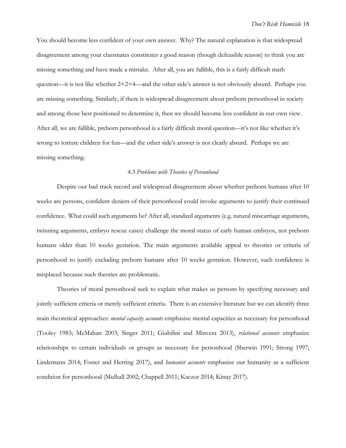You should become less confident of your own answer. Why? The natural explanation is that widespread disagreement among your classmates constitutes a good reason (though defeasible reason) to think you are missing something and have made a mistake. After all, you are fallible, this is a fairly difficult math question—it is not like whether  $2+2=4$ —and the other side's answer is not obviously absurd. Perhaps you are missing something. Similarly, if there is widespread disagreement about preborn personhood in society and among those best positioned to determine it, then we should become less confident in our own view. After all, we are fallible, preborn personhood is a fairly difficult moral question—it's not like whether it's wrong to torture children for fun—and the other side's answer is not clearly absurd. Perhaps we are missing something.

#### 4.3 *Problems with Theories of Personhood*

Despite our bad track record and widespread disagreement about whether preborn humans after 10 weeks are persons, confident deniers of their personhood could invoke arguments to justify their continued confidence. What could such arguments be? After all, standard arguments (e.g. natural miscarriage arguments, twinning arguments, embryo rescue cases) challenge the moral status of early human embryos, not preborn humans older than 10 weeks gestation. The main arguments available appeal to theories or criteria of personhood to justify excluding preborn humans after 10 weeks gestation. However, such confidence is misplaced because such theories are problematic.

Theories of moral personhood seek to explain what makes us persons by specifying necessary and jointly sufficient criteria or merely sufficient criteria. There is an extensive literature but we can identify three main theoretical approaches: *mental capacity accounts* emphasize mental capacities as necessary for personhood (Tooley 1983; McMahan 2003; Singer 2011; Giubilini and Minvera 2013), *relational accounts* emphasize relationships to certain individuals or groups as necessary for personhood (Sherwin 1991; Strong 1997; Lindemann 2014; Foster and Herring 2017), and *humanist accounts* emphasize our humanity as a sufficient condition for personhood (Mulhall 2002; Chappell 2011; Kaczor 2014; Kittay 2017).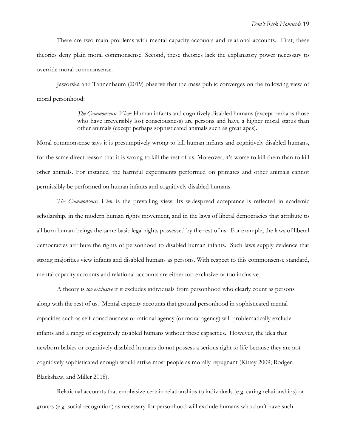There are two main problems with mental capacity accounts and relational accounts. First, these theories deny plain moral commonsense. Second, these theories lack the explanatory power necessary to override moral commonsense.

Jaworska and Tannenbaum (2019) observe that the mass public converges on the following view of moral personhood:

> *The Commonsense View*: Human infants and cognitively disabled humans (except perhaps those who have irreversibly lost consciousness) are persons and have a higher moral status than other animals (except perhaps sophisticated animals such as great apes).

Moral commonsense says it is presumptively wrong to kill human infants and cognitively disabled humans, for the same direct reason that it is wrong to kill the rest of us. Moreover, it's worse to kill them than to kill other animals. For instance, the harmful experiments performed on primates and other animals cannot permissibly be performed on human infants and cognitively disabled humans.

*The Commonsense View* is the prevailing view. Its widespread acceptance is reflected in academic scholarship, in the modern human rights movement, and in the laws of liberal democracies that attribute to all born human beings the same basic legal rights possessed by the rest of us. For example, the laws of liberal democracies attribute the rights of personhood to disabled human infants. Such laws supply evidence that strong majorities view infants and disabled humans as persons. With respect to this commonsense standard, mental capacity accounts and relational accounts are either too exclusive or too inclusive.

A theory is *too exclusive* if it excludes individuals from personhood who clearly count as persons along with the rest of us. Mental capacity accounts that ground personhood in sophisticated mental capacities such as self-consciousness or rational agency (or moral agency) will problematically exclude infants and a range of cognitively disabled humans without these capacities. However, the idea that newborn babies or cognitively disabled humans do not possess a serious right to life because they are not cognitively sophisticated enough would strike most people as morally repugnant (Kittay 2009; Rodger, Blackshaw, and Miller 2018).

Relational accounts that emphasize certain relationships to individuals (e.g. caring relationships) or groups (e.g. social recognition) as necessary for personhood will exclude humans who don't have such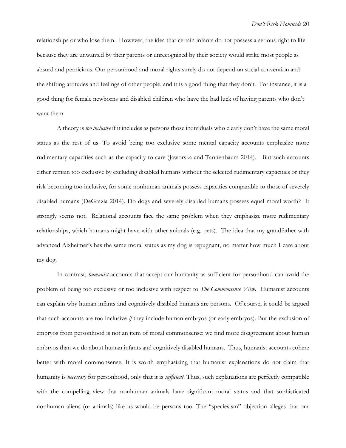relationships or who lose them. However, the idea that certain infants do not possess a serious right to life because they are unwanted by their parents or unrecognized by their society would strike most people as absurd and pernicious. Our personhood and moral rights surely do not depend on social convention and the shifting attitudes and feelings of other people, and it is a good thing that they don't. For instance, it is a good thing for female newborns and disabled children who have the bad luck of having parents who don't want them.

A theory is *too inclusive* if it includes as persons those individuals who clearly don't have the same moral status as the rest of us. To avoid being too exclusive some mental capacity accounts emphasize more rudimentary capacities such as the capacity to care (Jaworska and Tannenbaum 2014). But such accounts either remain too exclusive by excluding disabled humans without the selected rudimentary capacities or they risk becoming too inclusive, for some nonhuman animals possess capacities comparable to those of severely disabled humans (DeGrazia 2014). Do dogs and severely disabled humans possess equal moral worth? It strongly seems not. Relational accounts face the same problem when they emphasize more rudimentary relationships, which humans might have with other animals (e.g. pets). The idea that my grandfather with advanced Alzheimer's has the same moral status as my dog is repugnant, no matter how much I care about my dog.

In contrast, *humanist* accounts that accept our humanity as sufficient for personhood can avoid the problem of being too exclusive or too inclusive with respect to *The Commonsense View*. Humanist accounts can explain why human infants and cognitively disabled humans are persons. Of course, it could be argued that such accounts are too inclusive *if* they include human embryos (or early embryos). But the exclusion of embryos from personhood is not an item of moral commonsense: we find more disagreement about human embryos than we do about human infants and cognitively disabled humans. Thus, humanist accounts cohere better with moral commonsense. It is worth emphasizing that humanist explanations do not claim that humanity is *necessary* for personhood, only that it is *sufficient*. Thus, such explanations are perfectly compatible with the compelling view that nonhuman animals have significant moral status and that sophisticated nonhuman aliens (or animals) like us would be persons too. The "speciesism" objection alleges that our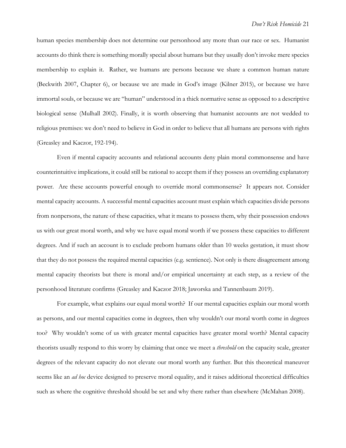human species membership does not determine our personhood any more than our race or sex. Humanist accounts do think there is something morally special about humans but they usually don't invoke mere species membership to explain it. Rather, we humans are persons because we share a common human nature (Beckwith 2007, Chapter 6), or because we are made in God's image (Kilner 2015), or because we have immortal souls, or because we are "human" understood in a thick normative sense as opposed to a descriptive biological sense (Mulhall 2002). Finally, it is worth observing that humanist accounts are not wedded to religious premises: we don't need to believe in God in order to believe that all humans are persons with rights (Greasley and Kaczor, 192-194).

Even if mental capacity accounts and relational accounts deny plain moral commonsense and have counterintuitive implications, it could still be rational to accept them if they possess an overriding explanatory power. Are these accounts powerful enough to override moral commonsense? It appears not. Consider mental capacity accounts. A successful mental capacities account must explain which capacities divide persons from nonpersons, the nature of these capacities, what it means to possess them, why their possession endows us with our great moral worth, and why we have equal moral worth if we possess these capacities to different degrees. And if such an account is to exclude preborn humans older than 10 weeks gestation, it must show that they do not possess the required mental capacities (e.g. sentience). Not only is there disagreement among mental capacity theorists but there is moral and/or empirical uncertainty at each step, as a review of the personhood literature confirms (Greasley and Kaczor 2018; Jaworska and Tannenbaum 2019).

For example, what explains our equal moral worth? If our mental capacities explain our moral worth as persons, and our mental capacities come in degrees, then why wouldn't our moral worth come in degrees too? Why wouldn't some of us with greater mental capacities have greater moral worth? Mental capacity theorists usually respond to this worry by claiming that once we meet a *threshold* on the capacity scale, greater degrees of the relevant capacity do not elevate our moral worth any further. But this theoretical maneuver seems like an *ad hoc* device designed to preserve moral equality, and it raises additional theoretical difficulties such as where the cognitive threshold should be set and why there rather than elsewhere (McMahan 2008).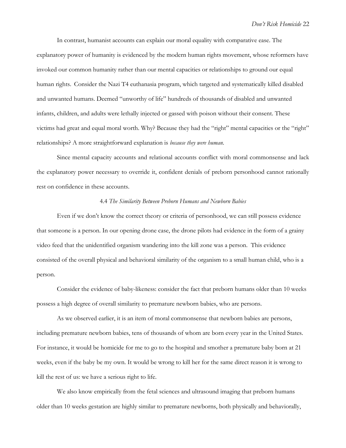In contrast, humanist accounts can explain our moral equality with comparative ease. The explanatory power of humanity is evidenced by the modern human rights movement, whose reformers have invoked our common humanity rather than our mental capacities or relationships to ground our equal human rights. Consider the Nazi T4 euthanasia program, which targeted and systematically killed disabled and unwanted humans. Deemed "unworthy of life" hundreds of thousands of disabled and unwanted infants, children, and adults were lethally injected or gassed with poison without their consent. These victims had great and equal moral worth. Why? Because they had the "right" mental capacities or the "right" relationships? A more straightforward explanation is *because they were human*.

Since mental capacity accounts and relational accounts conflict with moral commonsense and lack the explanatory power necessary to override it, confident denials of preborn personhood cannot rationally rest on confidence in these accounts.

#### 4.4 *The Similarity Between Preborn Humans and Newborn Babies*

Even if we don't know the correct theory or criteria of personhood, we can still possess evidence that someone is a person. In our opening drone case, the drone pilots had evidence in the form of a grainy video feed that the unidentified organism wandering into the kill zone was a person. This evidence consisted of the overall physical and behavioral similarity of the organism to a small human child, who is a person.

Consider the evidence of baby-likeness: consider the fact that preborn humans older than 10 weeks possess a high degree of overall similarity to premature newborn babies, who are persons.

As we observed earlier, it is an item of moral commonsense that newborn babies are persons, including premature newborn babies, tens of thousands of whom are born every year in the United States. For instance, it would be homicide for me to go to the hospital and smother a premature baby born at 21 weeks, even if the baby be my own. It would be wrong to kill her for the same direct reason it is wrong to kill the rest of us: we have a serious right to life.

We also know empirically from the fetal sciences and ultrasound imaging that preborn humans older than 10 weeks gestation are highly similar to premature newborns, both physically and behaviorally,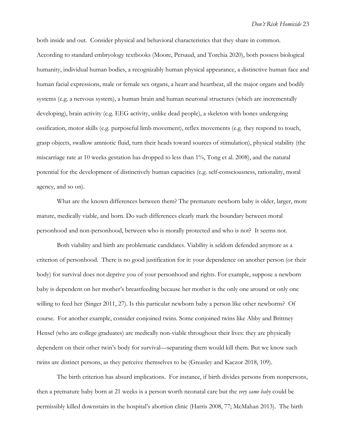both inside and out. Consider physical and behavioral characteristics that they share in common. According to standard embryology textbooks (Moore, Persaud, and Torchia 2020), both possess biological humanity, individual human bodies, a recognizably human physical appearance, a distinctive human face and human facial expressions, male or female sex organs, a heart and heartbeat, all the major organs and bodily systems (e.g. a nervous system), a human brain and human neuronal structures (which are incrementally developing), brain activity (e.g. EEG activity, unlike dead people), a skeleton with bones undergoing ossification, motor skills (e.g. purposeful limb movement), reflex movements (e.g. they respond to touch, grasp objects, swallow amniotic fluid, turn their heads toward sources of stimulation), physical stability (the miscarriage rate at 10 weeks gestation has dropped to less than 1%, Tong et al. 2008), and the natural potential for the development of distinctively human capacities (e.g. self-consciousness, rationality, moral agency, and so on).

What are the known differences between them? The premature newborn baby is older, larger, more mature, medically viable, and born. Do such differences clearly mark the boundary between moral personhood and non-personhood, between who is morally protected and who is not? It seems not.

Both viability and birth are problematic candidates. Viability is seldom defended anymore as a criterion of personhood. There is no good justification for it: your dependence on another person (or their body) for survival does not deprive you of your personhood and rights. For example, suppose a newborn baby is dependent on her mother's breastfeeding because her mother is the only one around or only one willing to feed her (Singer 2011, 27). Is this particular newborn baby a person like other newborns? Of course. For another example, consider conjoined twins. Some conjoined twins like Abby and Brittney Hensel (who are college graduates) are medically non-viable throughout their lives: they are physically dependent on their other twin's body for survival—separating them would kill them. But we know such twins are distinct persons, as they perceive themselves to be (Greasley and Kaczor 2018, 109).

The birth criterion has absurd implications. For instance, if birth divides persons from nonpersons, then a premature baby born at 21 weeks is a person worth neonatal care but the *very same baby* could be permissibly killed downstairs in the hospital's abortion clinic (Harris 2008, 77; McMahan 2013). The birth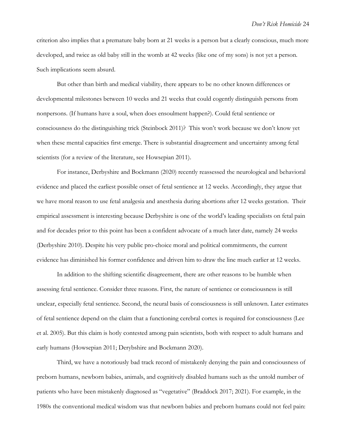criterion also implies that a premature baby born at 21 weeks is a person but a clearly conscious, much more developed, and twice as old baby still in the womb at 42 weeks (like one of my sons) is not yet a person. Such implications seem absurd.

But other than birth and medical viability, there appears to be no other known differences or developmental milestones between 10 weeks and 21 weeks that could cogently distinguish persons from nonpersons. (If humans have a soul, when does ensoulment happen?). Could fetal sentience or consciousness do the distinguishing trick (Steinbock 2011)? This won't work because we don't know yet when these mental capacities first emerge. There is substantial disagreement and uncertainty among fetal scientists (for a review of the literature, see Howsepian 2011).

For instance, Derbyshire and Bockmann (2020) recently reassessed the neurological and behavioral evidence and placed the earliest possible onset of fetal sentience at 12 weeks. Accordingly, they argue that we have moral reason to use fetal analgesia and anesthesia during abortions after 12 weeks gestation. Their empirical assessment is interesting because Derbyshire is one of the world's leading specialists on fetal pain and for decades prior to this point has been a confident advocate of a much later date, namely 24 weeks (Derbyshire 2010). Despite his very public pro-choice moral and political commitments, the current evidence has diminished his former confidence and driven him to draw the line much earlier at 12 weeks.

In addition to the shifting scientific disagreement, there are other reasons to be humble when assessing fetal sentience. Consider three reasons. First, the nature of sentience or consciousness is still unclear, especially fetal sentience. Second, the neural basis of consciousness is still unknown. Later estimates of fetal sentience depend on the claim that a functioning cerebral cortex is required for consciousness (Lee et al. 2005). But this claim is hotly contested among pain scientists, both with respect to adult humans and early humans (Howsepian 2011; Derybshire and Bockmann 2020).

Third, we have a notoriously bad track record of mistakenly denying the pain and consciousness of preborn humans, newborn babies, animals, and cognitively disabled humans such as the untold number of patients who have been mistakenly diagnosed as "vegetative" (Braddock 2017; 2021). For example, in the 1980s the conventional medical wisdom was that newborn babies and preborn humans could not feel pain: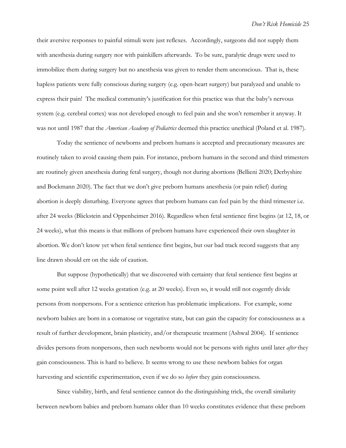their aversive responses to painful stimuli were just reflexes. Accordingly, surgeons did not supply them with anesthesia during surgery nor with painkillers afterwards. To be sure, paralytic drugs were used to immobilize them during surgery but no anesthesia was given to render them unconscious. That is, these hapless patients were fully conscious during surgery (e.g. open-heart surgery) but paralyzed and unable to express their pain! The medical community's justification for this practice was that the baby's nervous system (e.g. cerebral cortex) was not developed enough to feel pain and she won't remember it anyway. It was not until 1987 that the *American Academy of Pediatrics* deemed this practice unethical (Poland et al. 1987).

Today the sentience of newborns and preborn humans is accepted and precautionary measures are routinely taken to avoid causing them pain. For instance, preborn humans in the second and third trimesters are routinely given anesthesia during fetal surgery, though not during abortions (Bellieni 2020; Derbyshire and Bockmann 2020). The fact that we don't give preborn humans anesthesia (or pain relief) during abortion is deeply disturbing. Everyone agrees that preborn humans can feel pain by the third trimester i.e. after 24 weeks (Blickstein and Oppenheimer 2016). Regardless when fetal sentience first begins (at 12, 18, or 24 weeks), what this means is that millions of preborn humans have experienced their own slaughter in abortion. We don't know yet when fetal sentience first begins, but our bad track record suggests that any line drawn should err on the side of caution.

But suppose (hypothetically) that we discovered with certainty that fetal sentience first begins at some point well after 12 weeks gestation (e.g. at 20 weeks). Even so, it would still not cogently divide persons from nonpersons. For a sentience criterion has problematic implications. For example, some newborn babies are born in a comatose or vegetative state, but can gain the capacity for consciousness as a result of further development, brain plasticity, and/or therapeutic treatment (Ashwal 2004). If sentience divides persons from nonpersons, then such newborns would not be persons with rights until later *after* they gain consciousness. This is hard to believe. It seems wrong to use these newborn babies for organ harvesting and scientific experimentation, even if we do so *before* they gain consciousness.

Since viability, birth, and fetal sentience cannot do the distinguishing trick, the overall similarity between newborn babies and preborn humans older than 10 weeks constitutes evidence that these preborn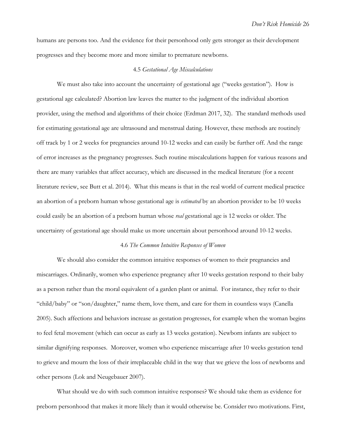humans are persons too. And the evidence for their personhood only gets stronger as their development progresses and they become more and more similar to premature newborns.

#### 4.5 *Gestational Age Miscalculations*

We must also take into account the uncertainty of gestational age ("weeks gestation"). How is gestational age calculated? Abortion law leaves the matter to the judgment of the individual abortion provider, using the method and algorithms of their choice (Erdman 2017, 32). The standard methods used for estimating gestational age are ultrasound and menstrual dating. However, these methods are routinely off track by 1 or 2 weeks for pregnancies around 10-12 weeks and can easily be further off. And the range of error increases as the pregnancy progresses. Such routine miscalculations happen for various reasons and there are many variables that affect accuracy, which are discussed in the medical literature (for a recent literature review, see Butt et al. 2014). What this means is that in the real world of current medical practice an abortion of a preborn human whose gestational age is *estimated* by an abortion provider to be 10 weeks could easily be an abortion of a preborn human whose *real* gestational age is 12 weeks or older. The uncertainty of gestational age should make us more uncertain about personhood around 10-12 weeks.

## 4.6 *The Common Intuitive Responses of Women*

We should also consider the common intuitive responses of women to their pregnancies and miscarriages. Ordinarily, women who experience pregnancy after 10 weeks gestation respond to their baby as a person rather than the moral equivalent of a garden plant or animal. For instance, they refer to their "child/baby" or "son/daughter," name them, love them, and care for them in countless ways (Canella 2005). Such affections and behaviors increase as gestation progresses, for example when the woman begins to feel fetal movement (which can occur as early as 13 weeks gestation). Newborn infants are subject to similar dignifying responses. Moreover, women who experience miscarriage after 10 weeks gestation tend to grieve and mourn the loss of their irreplaceable child in the way that we grieve the loss of newborns and other persons (Lok and Neugebauer 2007).

What should we do with such common intuitive responses? We should take them as evidence for preborn personhood that makes it more likely than it would otherwise be. Consider two motivations. First,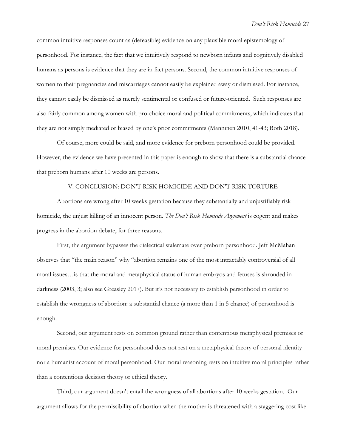common intuitive responses count as (defeasible) evidence on any plausible moral epistemology of personhood. For instance, the fact that we intuitively respond to newborn infants and cognitively disabled humans as persons is evidence that they are in fact persons. Second, the common intuitive responses of women to their pregnancies and miscarriages cannot easily be explained away or dismissed. For instance, they cannot easily be dismissed as merely sentimental or confused or future-oriented. Such responses are also fairly common among women with pro-choice moral and political commitments, which indicates that they are not simply mediated or biased by one's prior commitments (Manninen 2010, 41-43; Roth 2018).

Of course, more could be said, and more evidence for preborn personhood could be provided. However, the evidence we have presented in this paper is enough to show that there is a substantial chance that preborn humans after 10 weeks are persons.

## V. CONCLUSION: DON'T RISK HOMICIDE AND DON'T RISK TORTURE

Abortions are wrong after 10 weeks gestation because they substantially and unjustifiably risk homicide, the unjust killing of an innocent person. *The Don't Risk Homicide Argument* is cogent and makes progress in the abortion debate, for three reasons.

First, the argument bypasses the dialectical stalemate over preborn personhood. Jeff McMahan observes that "the main reason" why "abortion remains one of the most intractably controversial of all moral issues…is that the moral and metaphysical status of human embryos and fetuses is shrouded in darkness (2003, 3; also see Greasley 2017). But it's not necessary to establish personhood in order to establish the wrongness of abortion: a substantial chance (a more than 1 in 5 chance) of personhood is enough.

Second, our argument rests on common ground rather than contentious metaphysical premises or moral premises. Our evidence for personhood does not rest on a metaphysical theory of personal identity nor a humanist account of moral personhood. Our moral reasoning rests on intuitive moral principles rather than a contentious decision theory or ethical theory.

Third, our argument doesn't entail the wrongness of all abortions after 10 weeks gestation. Our argument allows for the permissibility of abortion when the mother is threatened with a staggering cost like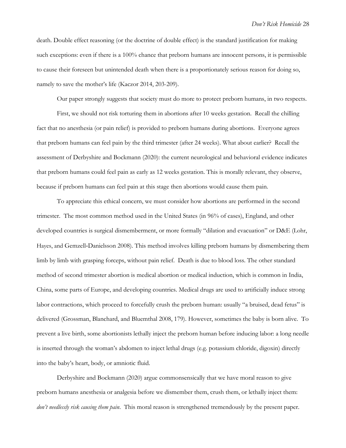death. Double effect reasoning (or the doctrine of double effect) is the standard justification for making such exceptions: even if there is a 100% chance that preborn humans are innocent persons, it is permissible to cause their foreseen but unintended death when there is a proportionately serious reason for doing so, namely to save the mother's life (Kaczor 2014, 203-209).

Our paper strongly suggests that society must do more to protect preborn humans, in two respects.

First, we should not risk torturing them in abortions after 10 weeks gestation. Recall the chilling fact that no anesthesia (or pain relief) is provided to preborn humans during abortions. Everyone agrees that preborn humans can feel pain by the third trimester (after 24 weeks). What about earlier? Recall the assessment of Derbyshire and Bockmann (2020): the current neurological and behavioral evidence indicates that preborn humans could feel pain as early as 12 weeks gestation. This is morally relevant, they observe, because if preborn humans can feel pain at this stage then abortions would cause them pain.

To appreciate this ethical concern, we must consider how abortions are performed in the second trimester. The most common method used in the United States (in 96% of cases), England, and other developed countries is surgical dismemberment, or more formally "dilation and evacuation" or D&E (Lohr, Hayes, and Gemzell‐Danielsson 2008). This method involves killing preborn humans by dismembering them limb by limb with grasping forceps, without pain relief. Death is due to blood loss. The other standard method of second trimester abortion is medical abortion or medical induction, which is common in India, China, some parts of Europe, and developing countries. Medical drugs are used to artificially induce strong labor contractions, which proceed to forcefully crush the preborn human: usually "a bruised, dead fetus" is delivered (Grossman, Blanchard, and Bluemthal 2008, 179). However, sometimes the baby is born alive. To prevent a live birth, some abortionists lethally inject the preborn human before inducing labor: a long needle is inserted through the woman's abdomen to inject lethal drugs (e.g. potassium chloride, digoxin) directly into the baby's heart, body, or amniotic fluid.

Derbyshire and Bockmann (2020) argue commonsensically that we have moral reason to give preborn humans anesthesia or analgesia before we dismember them, crush them, or lethally inject them: *don't needlessly risk causing them pain*. This moral reason is strengthened tremendously by the present paper.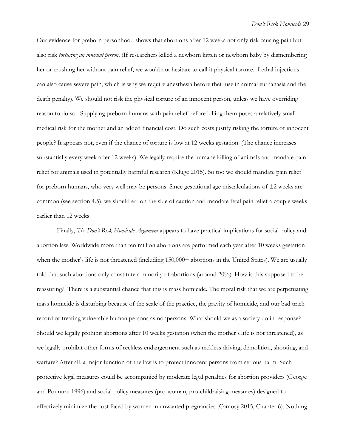Our evidence for preborn personhood shows that abortions after 12 weeks not only risk causing pain but also risk *torturing an innocent person*. (If researchers killed a newborn kitten or newborn baby by dismembering her or crushing her without pain relief, we would not hesitate to call it physical torture. Lethal injections can also cause severe pain, which is why we require anesthesia before their use in animal euthanasia and the death penalty). We should not risk the physical torture of an innocent person, unless we have overriding reason to do so. Supplying preborn humans with pain relief before killing them poses a relatively small medical risk for the mother and an added financial cost. Do such costs justify risking the torture of innocent people? It appears not, even if the chance of torture is low at 12 weeks gestation. (The chance increases substantially every week after 12 weeks). We legally require the humane killing of animals and mandate pain relief for animals used in potentially harmful research (Kluge 2015). So too we should mandate pain relief for preborn humans, who very well may be persons. Since gestational age miscalculations of ±2 weeks are common (see section 4.5), we should err on the side of caution and mandate fetal pain relief a couple weeks earlier than 12 weeks.

Finally, *The Don't Risk Homicide Argument* appears to have practical implications for social policy and abortion law. Worldwide more than ten million abortions are performed each year after 10 weeks gestation when the mother's life is not threatened (including 150,000+ abortions in the United States). We are usually told that such abortions only constitute a minority of abortions (around 20%). How is this supposed to be reassuring? There is a substantial chance that this is mass homicide. The moral risk that we are perpetuating mass homicide is disturbing because of the scale of the practice, the gravity of homicide, and our bad track record of treating vulnerable human persons as nonpersons. What should we as a society do in response? Should we legally prohibit abortions after 10 weeks gestation (when the mother's life is not threatened), as we legally prohibit other forms of reckless endangerment such as reckless driving, demolition, shooting, and warfare? After all, a major function of the law is to protect innocent persons from serious harm. Such protective legal measures could be accompanied by moderate legal penalties for abortion providers (George and Ponnuru 1996) and social policy measures (pro-woman, pro-childraising measures) designed to effectively minimize the cost faced by women in unwanted pregnancies (Camosy 2015, Chapter 6). Nothing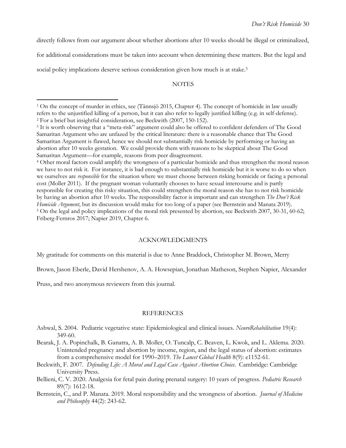directly follows from our argument about whether abortions after 10 weeks should be illegal or criminalized,

for additional considerations must be taken into account when determining these matters. But the legal and

social policy implications deserve serious consideration given how much is at stake. 5

## **NOTES**

### ACKNOWLEDGMENTS

My gratitude for comments on this material is due to Anne Braddock, Christopher M. Brown, Merry

Brown, Jason Eberle, David Hershenov, A. A. Howsepian, Jonathan Matheson, Stephen Napier, Alexander

Pruss, and two anonymous reviewers from this journal.

 $\overline{a}$ 

## REFERENCES

- Ashwal, S. 2004. Pediatric vegetative state: Epidemiological and clinical issues. *NeuroRehabilitation* 19(4): 349-60.
- Bearak, J. A. Popinchalk, B. Ganatra, A. B. Moller, O. Tuncalp, C. Beaven, L. Kwok, and L. Aklema. 2020. Unintended pregnancy and abortion by income, region, and the legal status of abortion: estimates from a comprehensive model for 1990–2019. *The Lancet Global Health* 8(9): e1152-61.
- Beckwith, F. 2007. *Defending Life: A Moral and Legal Case Against Abortion Choice*. Cambridge: Cambridge University Press.
- Bellieni, C. V. 2020. Analgesia for fetal pain during prenatal surgery: 10 years of progress. *Pediatric Research*  89(7): 1612-18.
- Bernstein, C., and P. Manata. 2019. Moral responsibility and the wrongness of abortion. *Journal of Medicine and Philosophy* 44(2): 243-62.

<sup>1</sup> On the concept of murder in ethics, see (Tännsjö 2015, Chapter 4). The concept of homicide in law usually refers to the unjustified killing of a person, but it can also refer to legally justified killing (e.g. in self-defense). <sup>2</sup> For a brief but insightful consideration, see Beckwith (2007, 150-152).

<sup>3</sup> It is worth observing that a "meta-risk" argument could also be offered to confident defenders of The Good Samaritan Argument who are unfazed by the critical literature: there is a reasonable chance that The Good Samaritan Argument is flawed, hence we should not substantially risk homicide by performing or having an abortion after 10 weeks gestation. We could provide them with reasons to be skeptical about The Good Samaritan Argument—for example, reasons from peer disagreement.

<sup>4</sup> Other moral factors could amplify the wrongness of a particular homicide and thus strengthen the moral reason we have to not risk it. For instance, it is bad enough to substantially risk homicide but it is worse to do so when we ourselves are *responsible* for the situation where we must choose between risking homicide or facing a personal cost (Moller 2011). If the pregnant woman voluntarily chooses to have sexual intercourse and is partly responsible for creating this risky situation, this could strengthen the moral reason she has to not risk homicide by having an abortion after 10 weeks. The responsibility factor is important and can strengthen *The Don't Risk Homicide Argument*, but its discussion would make for too long of a paper (see Bernstein and Manata 2019). <sup>5</sup> On the legal and policy implications of the moral risk presented by abortion, see Beckwith 2007, 30-31, 60-62; Friberg-Fernros 2017; Napier 2019, Chapter 6.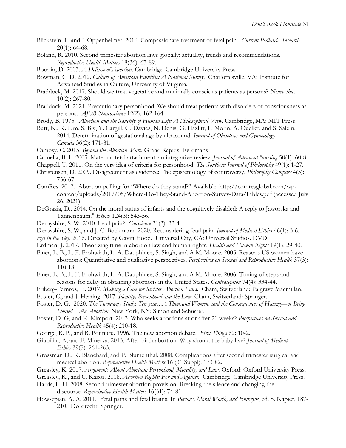- Blickstein, I., and I. Oppenheimer. 2016. Compassionate treatment of fetal pain. *Current Pediatric Research* 20(1): 64-68.
- Boland, R. 2010. Second trimester abortion laws globally: actuality, trends and recommendations. *Reproductive Health Matters* 18(36): 67-89.
- Boonin, D. 2003. *A Defense of Abortion*. Cambridge: Cambridge University Press.
- Bowman, C. D. 2012. *Culture of American Families: A National Survey*. Charlottesville, VA: Institute for Advanced Studies in Culture, University of Virginia.
- Braddock, M. 2017. Should we treat vegetative and minimally conscious patients as persons? *Neuroethics*  10(2): 267-80.
- Braddock, M. 2021. Precautionary personhood: We should treat patients with disorders of consciousness as persons. *AJOB Neuroscience* 12(2): 162-164.
- Brody, B. 1975. *Abortion and the Sanctity of Human Life: A Philosophical View.* Cambridge, MA: MIT Press
- Butt, K., K. Lim, S. Bly, Y. Cargill, G. Davies, N. Denis, G. Hazlitt, L. Morin, A. Ouellet, and S. Salem. 2014. Determination of gestational age by ultrasound. *Journal of Obstetrics and Gynaecology Canada* 36(2): 171-81.
- Camosy, C. 2015. *Beyond the Abortion Wars*. Grand Rapids: Eerdmans
- Cannella, B. L. 2005. Maternal-fetal attachment: an integrative review. *Journal of Advanced Nursing* 50(1): 60-8.
- Chappell, T. 2011. On the very idea of criteria for personhood. *The Southern Journal of Philosophy* 49(1): 1-27.
- Christensen, D. 2009. Disagreement as evidence: The epistemology of controversy. *Philosophy Compass* 4(5): 756-67.
- ComRes. 2017. Abortion polling for "Where do they stand?" Available: http://comresglobal.com/wpcontent/uploads/2017/05/Where-Do-They-Stand-Abortion-Survey-Data-Tables.pdf (accessed July 26, 2021).
- DeGrazia, D.. 2014. On the moral status of infants and the cognitively disabled: A reply to Jaworska and Tannenbaum." *Ethics* 124(3): 543-56.
- Derbyshire, S. W. 2010. Fetal pain? *Conscience* 31(3): 32-4.
- Derbyshire, S. W., and J. C. Bockmann. 2020. Reconsidering fetal pain. *Journal of Medical Ethics* 46(1): 3-6.
- *Eye in the Sky.* 2016. Directed by Gavin Hood. Universal City, CA: Universal Studios. DVD.
- Erdman, J. 2017. Theorizing time in abortion law and human rights. *Health and Human Rights* 19(1): 29-40.
- Finer, L. B., L. F. Frohwirth, L. A. Dauphinee, S. Singh, and A M. Moore. 2005. Reasons US women have abortions: Quantitative and qualitative perspectives. *Perspectives on Sexual and Reproductive Health* 37(3): 110-18.
- Finer, L. B., L. F. Frohwirth, L. A. Dauphinee, S. Singh, and A M. Moore. 2006. Timing of steps and reasons for delay in obtaining abortions in the United States. *Contraception* 74(4): 334-44.
- Friberg-Fernros, H. 2017. *Making a Case for Stricter Abortion Laws.* Cham, Switzerland: Palgrave Macmillan.
- Foster, C., and J. Herring. 2017. *Identity, Personhood and the Law*. Cham, Switzerland: Springer.
- Foster, D. G. 2020. *The Turnaway Study*: *Ten years, A Thousand Women, and the Consequences of Having—or Being Denied—An Abortion*. New York, NY: Simon and Schuster.
- Foster, D. G, and K. Kimport. 2013. Who seeks abortions at or after 20 weeks? *Perspectives on Sexual and Reproductive Health* 45(4): 210-18.
- George, R. P., and R. Ponnuru. 1996. The new abortion debate. *First Things* 62: 10-2.
- Giubilini, A, and F. Minerva. 2013. After-birth abortion: Why should the baby live? *Journal of Medical Ethics* 39(5): 261-263.
- Grossman D., K. Blanchard, and P. Blumenthal. 2008. Complications after second trimester surgical and medical abortion. *Reproductive Health Matters* 16 (31 Suppl): 173-82.
- Greasley, K. 2017. *Arguments About Abortion: Personhood, Morality, and Law*. Oxford: Oxford University Press.

Greasley, K., and C. Kazor. 2018. *Abortion Rights: For and Against*. Cambridge: Cambridge University Press.

- Harris, L. H. 2008. Second trimester abortion provision: Breaking the silence and changing the discourse. *Reproductive Health Matters* 16(31): 74-81.
- Howsepian, A. A. 2011. Fetal pains and fetal brains. In *Persons, Moral Worth, and Embryos*, ed. S. Napier, 187- 210. Dordrecht: Springer.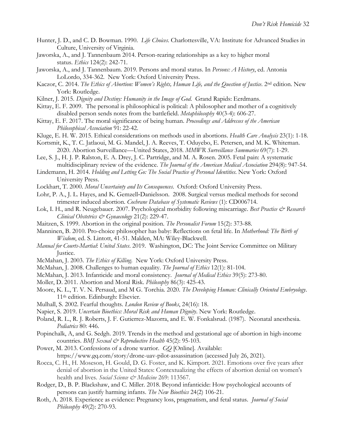- Hunter, J. D., and C. D. Bowman. 1990. *Life Choices*. Charlottesville, VA: Institute for Advanced Studies in Culture, University of Virginia.
- Jaworska, A., and J. Tannenbaum 2014. Person-rearing relationships as a key to higher moral status. *Ethics* 124(2): 242-71.
- Jaworska, A., and J. Tannenbaum. 2019. Persons and moral status. In *Persons: A History*, ed. Antonia LoLordo, 334-362. New York: Oxford University Press.
- Kaczor, C. 2014. *The Ethics of Abortion: Women's Rights, Human Life, and the Question of Justice*. 2nd edition. New York: Routledge.
- Kilner, J. 2015. *Dignity and Destiny: Humanity in the Image of God*. Grand Rapids: Eerdmans.
- Kittay, E. F. 2009. The personal is philosophical is political: A philosopher and mother of a cognitively disabled person sends notes from the battlefield. *Metaphilosophy* 40(3-4): 606-27.
- Kittay, E. F. 2017. The moral significance of being human. *Proceedings and Addresses of the American Philosophical Association* 91: 22-42.
- Kluge, E. H. W. 2015. Ethical considerations on methods used in abortions. *Health Care Analysis* 23(1): 1-18.
- Kortsmit, K., T. C. Jatlaoui, M. G. Mandel, J. A. Reeves, T. Oduyebo, E. Petersen, and M. K. Whiteman. 2020. Abortion Surveillance—United States, 2018. *MMWR Surveillance Summaries* 69(7): 1-29.
- Lee, S. J., H. J. P. Ralston, E. A. Drey, J. C. Partridge, and M. A. Rosen. 2005. Fetal pain: A systematic multidisciplinary review of the evidence. *The Journal of the American Medical Association* 294(8): 947-54.
- Lindemann, H. 2014. *Holding and Letting Go: The Social Practice of Personal Identities*. New York: Oxford University Press.
- Lockhart, T. 2000. *Moral Uncertainty and Its Consequences*. Oxford: Oxford University Press.
- Lohr, P. A., J. L. Hayes, and K. Gemzell‐Danielsson. 2008. Surgical versus medical methods for second trimester induced abortion. *Cochrane Database of Systematic Reviews* (1): CD006714.
- Lok, I. H., and R. Neugebauer. 2007. Psychological morbidity following miscarriage. *Best Practice & Research Clinical Obstetrics & Gynaecology* 21(2): 229-47.
- Maitzen, S. 1999. Abortion in the original position. *The Personalist Forum* 15(2): 373-88.
- Manninen, B. 2010. Pro-choice philosopher has baby: Reflections on fetal life. In *Motherhood: The Birth of Wisdom*, ed. S. Lintott, 41-51. Malden, MA: Wiley-Blackwell.
- *Manual for Courts-Martial*: *United States*. 2019. Washington, DC: The Joint Service Committee on Military Justice.
- McMahan, J. 2003. *The Ethics of Killing*. New York: Oxford University Press.
- McMahan, J. 2008. Challenges to human equality. *The Journal of Ethics* 12(1): 81-104.
- McMahan, J. 2013. Infanticide and moral consistency. *Journal of Medical Ethics* 39(5): 273-80.
- Moller, D. 2011. Abortion and Moral Risk. *Philosophy* 86(3): 425-43.
- Moore, K. L., T. V. N. Persaud, and M G. Torchia. 2020. *The Developing Human: Clinically Oriented Embryology*. 11th edition. Edinburgh: Elsevier.
- Mulhall, S. 2002. Fearful thoughts. *London Review of Books*, 24(16): 18.
- Napier, S. 2019. *Uncertain Bioethics: Moral Risk and Human Dignity*. New York: Routledge.
- Poland, R. L., R. J. Roberts, J. F. Gutierrez-Mazorra, and E. W. Fonkalsrud. (1987). Neonatal anesthesia. *Pediatrics* 80: 446.
- Popinchalk, A, and G. Sedgh. 2019. Trends in the method and gestational age of abortion in high-income countries. *BMJ Sexual & Reproductive Health* 45(2): 95-103.
- Power, M. 2013. Confessions of a drone warrior. *GQ* [Online]. Available: https://www.gq.com/story/drone-uav-pilot-assassination (accessed July 26, 2021).
- Rocca, C. H., H. Moseson, H. Gould, D. G. Foster, and K. Kimport. 2021. Emotions over five years after denial of abortion in the United States: Contextualizing the effects of abortion denial on women's health and lives. *Social Science & Medicine* 269: 113567.
- Rodger, D., B. P. Blackshaw, and C. Miller. 2018. Beyond infanticide: How psychological accounts of persons can justify harming infants. *The New Bioethics* 24(2) 106-21.
- Roth, A. 2018. Experience as evidence: Pregnancy loss, pragmatism, and fetal status. *Journal of Social Philosophy* 49(2): 270-93.